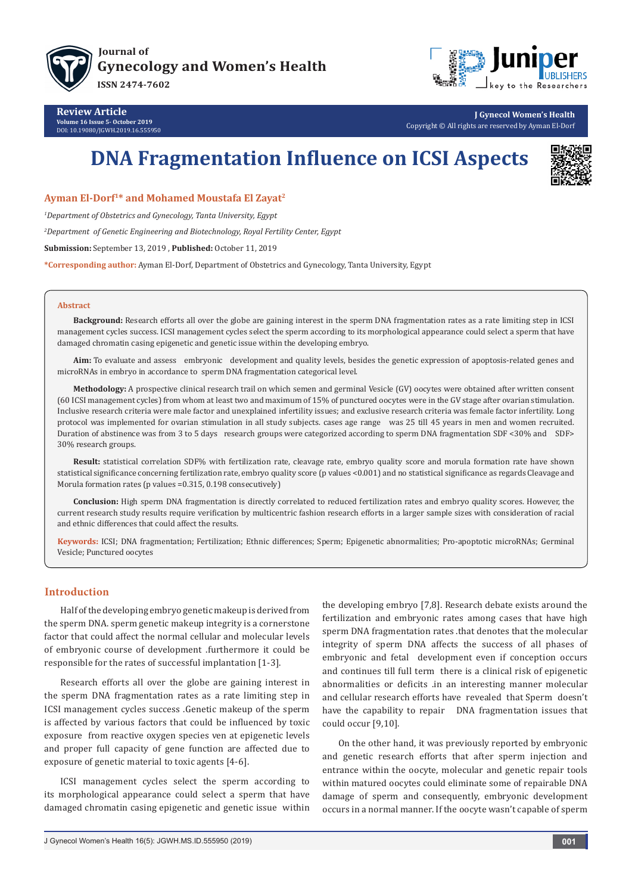



**Review Article Volume 16 Issue 5- October 2019** DOI: [10.19080/JGWH.2019.16.555950](http://dx.doi.org/10.19080/JGWH.2019.16.555950)

**J Gynecol Women's Health** Copyright © All rights are reserved by Ayman El-Dorf

# **DNA Fragmentation Influence on ICSI Aspects**



## **Ayman El-Dorf1\* and Mohamed Moustafa El Zayat2**

*1 Department of Obstetrics and Gynecology, Tanta University, Egypt*

*2 Department of Genetic Engineering and Biotechnology, Royal Fertility Center, Egypt*

**Submission:** September 13, 2019 , **Published:** October 11, 2019

**\*Corresponding author:** Ayman El-Dorf, Department of Obstetrics and Gynecology, Tanta University, Egypt

#### **Abstract**

**Background:** Research efforts all over the globe are gaining interest in the sperm DNA fragmentation rates as a rate limiting step in ICSI management cycles success. ICSI management cycles select the sperm according to its morphological appearance could select a sperm that have damaged chromatin casing epigenetic and genetic issue within the developing embryo.

**Aim:** To evaluate and assess embryonic development and quality levels, besides the genetic expression of apoptosis-related genes and microRNAs in embryo in accordance to sperm DNA fragmentation categorical level.

**Methodology:** A prospective clinical research trail on which semen and germinal Vesicle (GV) oocytes were obtained after written consent (60 ICSI management cycles) from whom at least two and maximum of 15% of punctured oocytes were in the GV stage after ovarian stimulation. Inclusive research criteria were male factor and unexplained infertility issues; and exclusive research criteria was female factor infertility. Long protocol was implemented for ovarian stimulation in all study subjects. cases age range was 25 till 45 years in men and women recruited. Duration of abstinence was from 3 to 5 days research groups were categorized according to sperm DNA fragmentation SDF <30% and SDF> 30% research groups.

**Result:** statistical correlation SDF% with fertilization rate, cleavage rate, embryo quality score and morula formation rate have shown statistical significance concerning fertilization rate, embryo quality score (p values <0.001) and no statistical significance as regards Cleavage and Morula formation rates (p values =0.315, 0.198 consecutively)

**Conclusion:** High sperm DNA fragmentation is directly correlated to reduced fertilization rates and embryo quality scores. However, the current research study results require verification by multicentric fashion research efforts in a larger sample sizes with consideration of racial and ethnic differences that could affect the results.

**Keywords:** ICSI; DNA fragmentation; Fertilization; Ethnic differences; Sperm; Epigenetic abnormalities; Pro-apoptotic microRNAs; Germinal Vesicle; Punctured oocytes

# **Introduction**

Half of the developing embryo genetic makeup is derived from the sperm DNA. sperm genetic makeup integrity is a cornerstone factor that could affect the normal cellular and molecular levels of embryonic course of development .furthermore it could be responsible for the rates of successful implantation [1-3].

Research efforts all over the globe are gaining interest in the sperm DNA fragmentation rates as a rate limiting step in ICSI management cycles success .Genetic makeup of the sperm is affected by various factors that could be influenced by toxic exposure from reactive oxygen species ven at epigenetic levels and proper full capacity of gene function are affected due to exposure of genetic material to toxic agents [4-6].

ICSI management cycles select the sperm according to its morphological appearance could select a sperm that have damaged chromatin casing epigenetic and genetic issue within the developing embryo [7,8]. Research debate exists around the fertilization and embryonic rates among cases that have high sperm DNA fragmentation rates .that denotes that the molecular integrity of sperm DNA affects the success of all phases of embryonic and fetal development even if conception occurs and continues till full term there is a clinical risk of epigenetic abnormalities or deficits .in an interesting manner molecular and cellular research efforts have revealed that Sperm doesn't have the capability to repair DNA fragmentation issues that could occur [9,10].

On the other hand, it was previously reported by embryonic and genetic research efforts that after sperm injection and entrance within the oocyte, molecular and genetic repair tools within matured oocytes could eliminate some of repairable DNA damage of sperm and consequently, embryonic development occurs in a normal manner. If the oocyte wasn't capable of sperm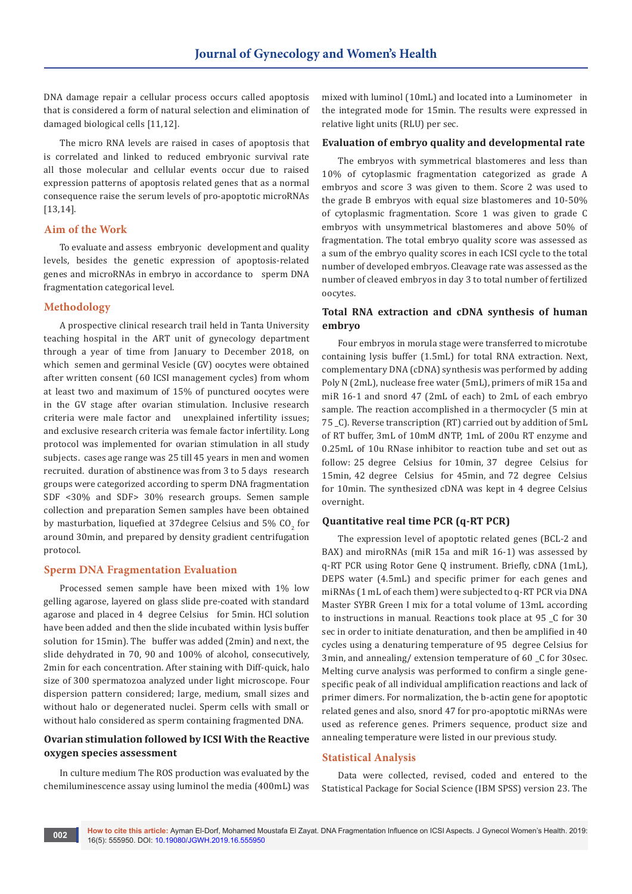DNA damage repair a cellular process occurs called apoptosis that is considered a form of natural selection and elimination of damaged biological cells [11,12].

The micro RNA levels are raised in cases of apoptosis that is correlated and linked to reduced embryonic survival rate all those molecular and cellular events occur due to raised expression patterns of apoptosis related genes that as a normal consequence raise the serum levels of pro-apoptotic microRNAs [13,14].

## **Aim of the Work**

To evaluate and assess embryonic development and quality levels, besides the genetic expression of apoptosis-related genes and microRNAs in embryo in accordance to sperm DNA fragmentation categorical level.

## **Methodology**

A prospective clinical research trail held in Tanta University teaching hospital in the ART unit of gynecology department through a year of time from January to December 2018, on which semen and germinal Vesicle (GV) oocytes were obtained after written consent (60 ICSI management cycles) from whom at least two and maximum of 15% of punctured oocytes were in the GV stage after ovarian stimulation. Inclusive research criteria were male factor and unexplained infertility issues; and exclusive research criteria was female factor infertility. Long protocol was implemented for ovarian stimulation in all study subjects. cases age range was 25 till 45 years in men and women recruited. duration of abstinence was from 3 to 5 days research groups were categorized according to sperm DNA fragmentation SDF <30% and SDF> 30% research groups. Semen sample collection and preparation Semen samples have been obtained by masturbation, liquefied at 37 degree Celsius and 5%  $\mathrm{CO}_2^+$  for around 30min, and prepared by density gradient centrifugation protocol.

#### **Sperm DNA Fragmentation Evaluation**

Processed semen sample have been mixed with 1% low gelling agarose, layered on glass slide pre-coated with standard agarose and placed in 4 degree Celsius for 5min. HCl solution have been added and then the slide incubated within lysis buffer solution for 15min). The buffer was added (2min) and next, the slide dehydrated in 70, 90 and 100% of alcohol, consecutively, 2min for each concentration. After staining with Diff-quick, halo size of 300 spermatozoa analyzed under light microscope. Four dispersion pattern considered; large, medium, small sizes and without halo or degenerated nuclei. Sperm cells with small or without halo considered as sperm containing fragmented DNA.

# **Ovarian stimulation followed by ICSI With the Reactive oxygen species assessment**

In culture medium The ROS production was evaluated by the chemiluminescence assay using luminol the media (400mL) was mixed with luminol (10mL) and located into a Luminometer in the integrated mode for 15min. The results were expressed in relative light units (RLU) per sec.

#### **Evaluation of embryo quality and developmental rate**

The embryos with symmetrical blastomeres and less than 10% of cytoplasmic fragmentation categorized as grade A embryos and score 3 was given to them. Score 2 was used to the grade B embryos with equal size blastomeres and 10-50% of cytoplasmic fragmentation. Score 1 was given to grade C embryos with unsymmetrical blastomeres and above 50% of fragmentation. The total embryo quality score was assessed as a sum of the embryo quality scores in each ICSI cycle to the total number of developed embryos. Cleavage rate was assessed as the number of cleaved embryos in day 3 to total number of fertilized oocytes.

## **Total RNA extraction and cDNA synthesis of human embryo**

Four embryos in morula stage were transferred to microtube containing lysis buffer (1.5mL) for total RNA extraction. Next, complementary DNA (cDNA) synthesis was performed by adding Poly N (2mL), nuclease free water (5mL), primers of miR 15a and miR 16-1 and snord 47 (2mL of each) to 2mL of each embryo sample. The reaction accomplished in a thermocycler (5 min at 75 \_C). Reverse transcription (RT) carried out by addition of 5mL of RT buffer, 3mL of 10mM dNTP, 1mL of 200u RT enzyme and 0.25mL of 10u RNase inhibitor to reaction tube and set out as follow: 25 degree Celsius for 10min, 37 degree Celsius for 15min, 42 degree Celsius for 45min, and 72 degree Celsius for 10min. The synthesized cDNA was kept in 4 degree Celsius overnight.

## **Quantitative real time PCR (q-RT PCR)**

The expression level of apoptotic related genes (BCL-2 and BAX) and miroRNAs (miR 15a and miR 16-1) was assessed by q-RT PCR using Rotor Gene Q instrument. Briefly, cDNA (1mL), DEPS water (4.5mL) and specific primer for each genes and miRNAs (1 mL of each them) were subjected to q-RT PCR via DNA Master SYBR Green I mix for a total volume of 13mL according to instructions in manual. Reactions took place at 95 \_C for 30 sec in order to initiate denaturation, and then be amplified in 40 cycles using a denaturing temperature of 95 degree Celsius for 3min, and annealing/ extension temperature of 60 \_C for 30sec. Melting curve analysis was performed to confirm a single genespecific peak of all individual amplification reactions and lack of primer dimers. For normalization, the b-actin gene for apoptotic related genes and also, snord 47 for pro-apoptotic miRNAs were used as reference genes. Primers sequence, product size and annealing temperature were listed in our previous study.

#### **Statistical Analysis**

Data were collected, revised, coded and entered to the Statistical Package for Social Science (IBM SPSS) version 23. The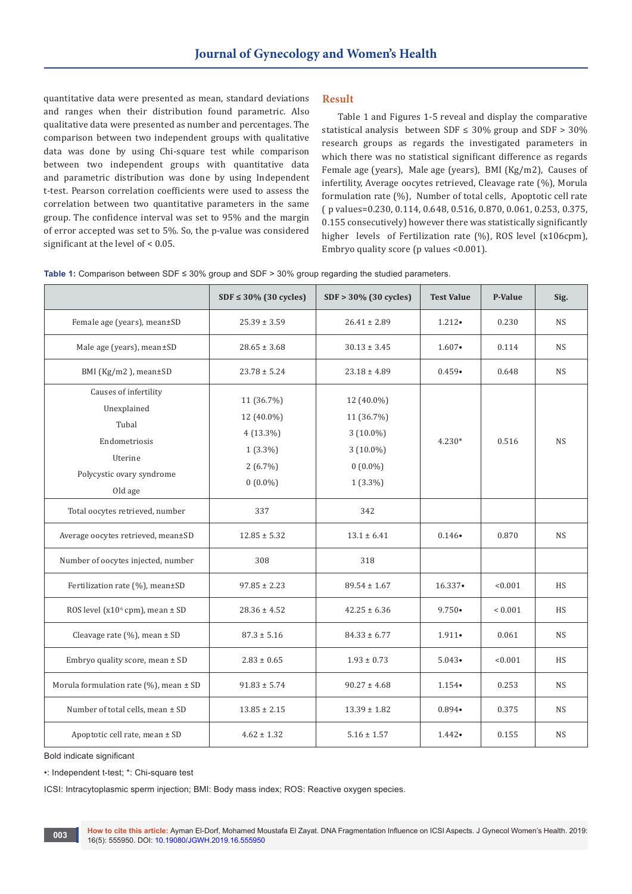quantitative data were presented as mean, standard deviations and ranges when their distribution found parametric. Also qualitative data were presented as number and percentages. The comparison between two independent groups with qualitative data was done by using Chi-square test while comparison between two independent groups with quantitative data and parametric distribution was done by using Independent t-test. Pearson correlation coefficients were used to assess the correlation between two quantitative parameters in the same group. The confidence interval was set to 95% and the margin of error accepted was set to 5%. So, the p-value was considered significant at the level of < 0.05.

## **Result**

Table 1 and Figures 1-5 reveal and display the comparative statistical analysis between SDF  $\leq$  30% group and SDF  $>$  30% research groups as regards the investigated parameters in which there was no statistical significant difference as regards Female age (years), Male age (years), BMI (Kg/m2), Causes of infertility, Average oocytes retrieved, Cleavage rate (%), Morula formulation rate (%), Number of total cells, Apoptotic cell rate ( p values=0.230, 0.114, 0.648, 0.516, 0.870, 0.061, 0.253, 0.375, 0.155 consecutively) however there was statistically significantly higher levels of Fertilization rate (%), ROS level (x106cpm), Embryo quality score (p values <0.001).

|                                                                                                                   | $SDF \leq 30\%$ (30 cycles)                                                       | $SDF > 30\%$ (30 cycles)                                                           | <b>Test Value</b> | P-Value     | Sig.      |
|-------------------------------------------------------------------------------------------------------------------|-----------------------------------------------------------------------------------|------------------------------------------------------------------------------------|-------------------|-------------|-----------|
| Female age (years), mean±SD                                                                                       | $25.39 \pm 3.59$                                                                  | $26.41 \pm 2.89$                                                                   | $1.212 \cdot$     | 0.230       | <b>NS</b> |
| Male age (years), mean±SD                                                                                         | $28.65 \pm 3.68$                                                                  | $30.13 \pm 3.45$                                                                   | $1.607 \bullet$   | 0.114       | <b>NS</b> |
| BMI (Kg/m2), mean±SD                                                                                              | $23.78 \pm 5.24$                                                                  | $23.18 \pm 4.89$                                                                   | $0.459 \bullet$   | 0.648       | <b>NS</b> |
| Causes of infertility<br>Unexplained<br>Tubal<br>Endometriosis<br>Uterine<br>Polycystic ovary syndrome<br>Old age | 11 (36.7%)<br>12 (40.0%)<br>$4(13.3\%)$<br>$1(3.3\%)$<br>$2(6.7\%)$<br>$0(0.0\%)$ | 12 (40.0%)<br>11 (36.7%)<br>$3(10.0\%)$<br>$3(10.0\%)$<br>$0(0.0\%)$<br>$1(3.3\%)$ | $4.230*$          | 0.516       | <b>NS</b> |
| Total oocytes retrieved, number                                                                                   | 337                                                                               | 342                                                                                |                   |             |           |
| Average oocytes retrieved, mean±SD                                                                                | $12.85 \pm 5.32$                                                                  | $13.1 \pm 6.41$                                                                    | $0.146 \bullet$   | 0.870       | <b>NS</b> |
| Number of oocytes injected, number                                                                                | 308                                                                               | 318                                                                                |                   |             |           |
| Fertilization rate (%), mean±SD                                                                                   | $97.85 \pm 2.23$                                                                  | $89.54 \pm 1.67$                                                                   | $16.337 \bullet$  | < 0.001     | <b>HS</b> |
| ROS level (x10 <sup>6</sup> cpm), mean ± SD                                                                       | $28.36 \pm 4.52$                                                                  | $42.25 \pm 6.36$                                                                   | $9.750 \bullet$   | ${}< 0.001$ | <b>HS</b> |
| Cleavage rate (%), mean ± SD                                                                                      | $87.3 \pm 5.16$                                                                   | $84.33 \pm 6.77$                                                                   | $1.911 \bullet$   | 0.061       | <b>NS</b> |
| Embryo quality score, mean ± SD                                                                                   | $2.83 \pm 0.65$                                                                   | $1.93 \pm 0.73$                                                                    | $5.043 \bullet$   | < 0.001     | <b>HS</b> |
| Morula formulation rate (%), mean $\pm$ SD                                                                        | $91.83 \pm 5.74$                                                                  | $90.27 \pm 4.68$                                                                   | $1.154 \bullet$   | 0.253       | <b>NS</b> |
| Number of total cells, mean ± SD                                                                                  | $13.85 \pm 2.15$                                                                  | $13.39 \pm 1.82$                                                                   | $0.894 \bullet$   | 0.375       | <b>NS</b> |
| Apoptotic cell rate, mean ± SD                                                                                    | $4.62 \pm 1.32$                                                                   | $5.16 \pm 1.57$                                                                    | $1.442 \bullet$   | 0.155       | <b>NS</b> |

**Table 1:** Comparison between SDF ≤ 30% group and SDF > 30% group regarding the studied parameters.

Bold indicate significant

•: Independent t-test; \*: Chi-square test

ICSI: Intracytoplasmic sperm injection; BMI: Body mass index; ROS: Reactive oxygen species.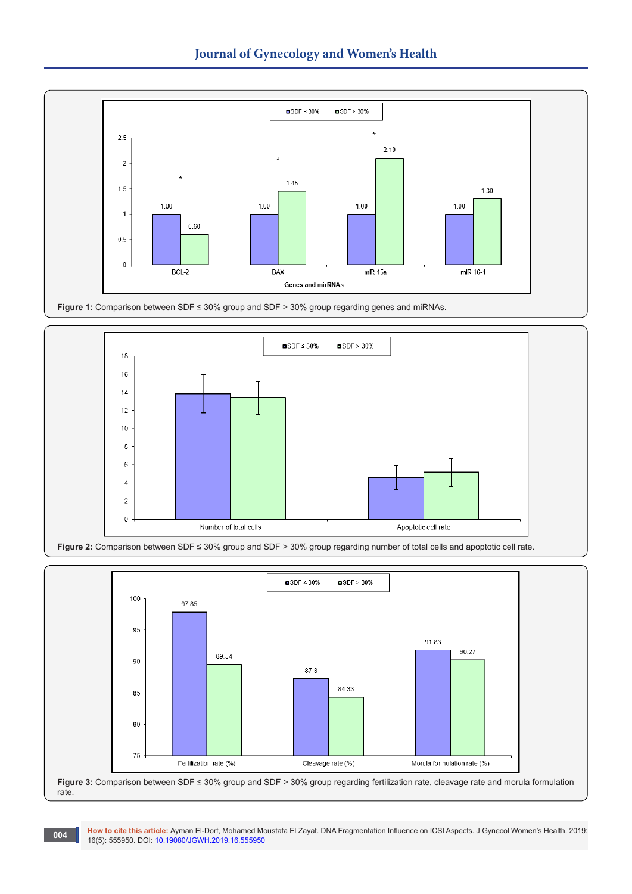







**How to cite this article:** Ayman El-Dorf, Mohamed Moustafa El Zayat. DNA Fragmentation Influence on ICSI Aspects. J Gynecol Women's Health. 2019: 16(5): 555950. DOI: [10.19080/JGWH.2019.16.555950](http://dx.doi.org/10.19080/JGWH.2019.16.555950)<br>16(5): 555950. DOI: 10.19080/JGWH.2019.16.555950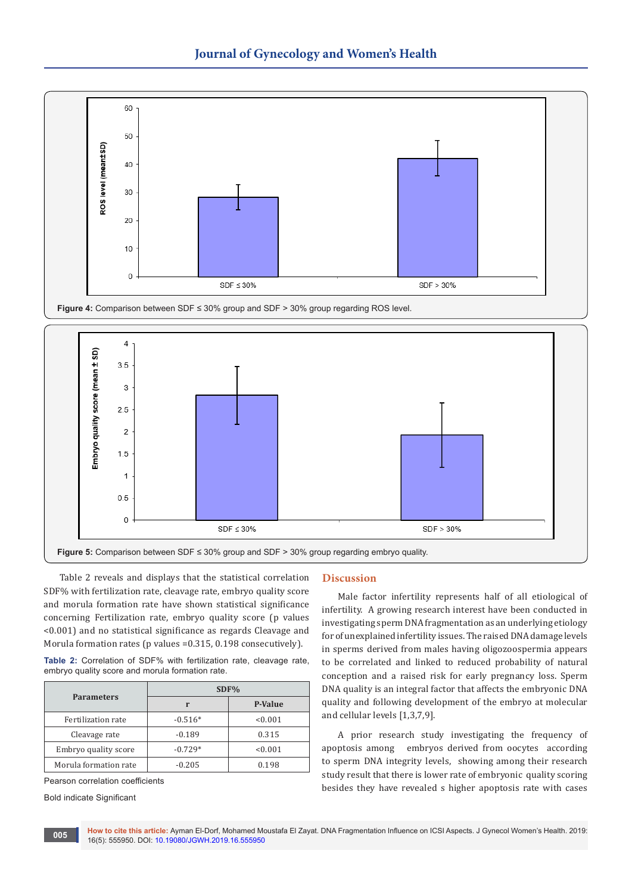

**Figure 4:** Comparison between SDF ≤ 30% group and SDF > 30% group regarding ROS level.



Table 2 reveals and displays that the statistical correlation SDF% with fertilization rate, cleavage rate, embryo quality score and morula formation rate have shown statistical significance concerning Fertilization rate, embryo quality score (p values <0.001) and no statistical significance as regards Cleavage and Morula formation rates (p values =0.315, 0.198 consecutively).

**Table 2:** Correlation of SDF% with fertilization rate, cleavage rate, embryo quality score and morula formation rate.

| <b>Parameters</b>     | $SDF\%$   |         |  |  |
|-----------------------|-----------|---------|--|--|
|                       | r         | P-Value |  |  |
| Fertilization rate    | $-0.516*$ | < 0.001 |  |  |
| Cleavage rate         | $-0.189$  | 0.315   |  |  |
| Embryo quality score  | $-0.729*$ | < 0.001 |  |  |
| Morula formation rate | $-0.205$  | 0.198   |  |  |

Pearson correlation coefficients

Bold indicate Significant

**005**

# **Discussion**

Male factor infertility represents half of all etiological of infertility. A growing research interest have been conducted in investigating sperm DNA fragmentation as an underlying etiology for of unexplained infertility issues. The raised DNA damage levels in sperms derived from males having oligozoospermia appears to be correlated and linked to reduced probability of natural conception and a raised risk for early pregnancy loss. Sperm DNA quality is an integral factor that affects the embryonic DNA quality and following development of the embryo at molecular and cellular levels [1,3,7,9].

A prior research study investigating the frequency of apoptosis among embryos derived from oocytes according to sperm DNA integrity levels, showing among their research study result that there is lower rate of embryonic quality scoring besides they have revealed s higher apoptosis rate with cases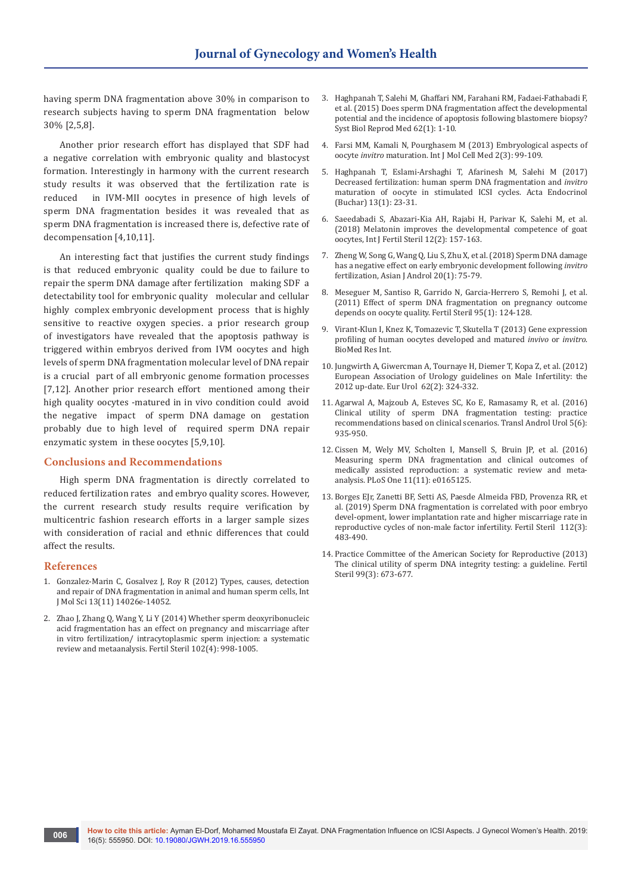having sperm DNA fragmentation above 30% in comparison to research subjects having to sperm DNA fragmentation below 30% [2,5,8].

Another prior research effort has displayed that SDF had a negative correlation with embryonic quality and blastocyst formation. Interestingly in harmony with the current research study results it was observed that the fertilization rate is reduced in IVM-MII oocytes in presence of high levels of sperm DNA fragmentation besides it was revealed that as sperm DNA fragmentation is increased there is, defective rate of decompensation [4,10,11].

An interesting fact that justifies the current study findings is that reduced embryonic quality could be due to failure to repair the sperm DNA damage after fertilization making SDF a detectability tool for embryonic quality molecular and cellular highly complex embryonic development process that is highly sensitive to reactive oxygen species. a prior research group of investigators have revealed that the apoptosis pathway is triggered within embryos derived from IVM oocytes and high levels of sperm DNA fragmentation molecular level of DNA repair is a crucial part of all embryonic genome formation processes [7,12]. Another prior research effort mentioned among their high quality oocytes -matured in in vivo condition could avoid the negative impact of sperm DNA damage on gestation probably due to high level of required sperm DNA repair enzymatic system in these oocytes [5,9,10].

## **Conclusions and Recommendations**

High sperm DNA fragmentation is directly correlated to reduced fertilization rates and embryo quality scores. However, the current research study results require verification by multicentric fashion research efforts in a larger sample sizes with consideration of racial and ethnic differences that could affect the results.

#### **References**

- 1. Gonzalez-Marin C, Gosalvez J, [Roy R \(2012\) Types, causes, detection](https://www.ncbi.nlm.nih.gov/pubmed/23203048)  [and repair of DNA fragmentation in animal and human sperm cells, Int](https://www.ncbi.nlm.nih.gov/pubmed/23203048)  [J Mol Sci 13\(11\) 14026e-14052.](https://www.ncbi.nlm.nih.gov/pubmed/23203048)
- 2. [Zhao J, Zhang Q, Wang Y, Li Y \(2014\)](https://www.ncbi.nlm.nih.gov/pubmed/25190048) Whether sperm deoxyribonucleic [acid fragmentation has an effect on pregnancy and miscarriage after](https://www.ncbi.nlm.nih.gov/pubmed/25190048)  [in vitro fertilization/ intracytoplasmic sperm injection: a systematic](https://www.ncbi.nlm.nih.gov/pubmed/25190048)  [review and metaanalysis. Fertil Steril 102\(4\): 998-1005.](https://www.ncbi.nlm.nih.gov/pubmed/25190048)
- 3. [Haghpanah T, Salehi M, Ghaffari NM, Farahani RM, Fadaei-Fathabadi F,](https://www.ncbi.nlm.nih.gov/pubmed/26678043)  et al. (2015) [Does sperm DNA fragmentation](https://www.ncbi.nlm.nih.gov/pubmed/26678043) affect the developmental [potential and the incidence of apoptosis](https://www.ncbi.nlm.nih.gov/pubmed/26678043) following blastomere biopsy? [Syst Biol Reprod Med 62\(1\): 1-10.](https://www.ncbi.nlm.nih.gov/pubmed/26678043)
- 4. [Farsi MM, Kamali N, Pourghasem M \(2013\) Embryological aspects of](https://www.ncbi.nlm.nih.gov/pubmed/24551799/)  oocyte *invitro* [maturation. Int J Mol Cell Med 2\(3\): 99-109.](https://www.ncbi.nlm.nih.gov/pubmed/24551799/)
- 5. [Haghpanah T, Eslami-Arshaghi T, Afarinesh M, Salehi M \(2017\)](https://www.ncbi.nlm.nih.gov/pubmed/31149144)  [Decreased fertilization: human sperm DNA fragmentation and](https://www.ncbi.nlm.nih.gov/pubmed/31149144) *invitro* [maturation of oocyte in stimulated ICSI cycles. Acta Endocrinol](https://www.ncbi.nlm.nih.gov/pubmed/31149144)  [\(Buchar\) 13\(1\): 23-31.](https://www.ncbi.nlm.nih.gov/pubmed/31149144)
- 6. [Saeedabadi S, Abazari-Kia AH, Rajabi H, Parivar K, Salehi M, et al.](https://www.ncbi.nlm.nih.gov/pubmed/29707934)  [\(2018\) Melatonin improves the developmental competence of goat](https://www.ncbi.nlm.nih.gov/pubmed/29707934)  [oocytes, Int J Fertil Steril 12\(2\): 157-163.](https://www.ncbi.nlm.nih.gov/pubmed/29707934)
- 7. [Zheng W, Song G, Wang Q, Liu S, Zhu X, et al. \(2018\) Sperm DNA damage](https://www.ncbi.nlm.nih.gov/pubmed/28675153)  [has a negative effect on early embryonic development](https://www.ncbi.nlm.nih.gov/pubmed/28675153) following *invitro* [fertilization, Asian J Androl 20\(1\): 75-79.](https://www.ncbi.nlm.nih.gov/pubmed/28675153)
- 8. [Meseguer M, Santiso R, Garrido N, Garcia-Herrero S, Remohi J, et al.](https://www.ncbi.nlm.nih.gov/pubmed/20643402)  (2011) [Effect of sperm DNA fragmentation on pregnancy outcome](https://www.ncbi.nlm.nih.gov/pubmed/20643402) [depends on oocyte quality. Fertil Steril 95\(1\): 124-128.](https://www.ncbi.nlm.nih.gov/pubmed/20643402)
- 9. Virant-Klun I, Knez K, Tomazevic T, Skutella T (2013) Gene expression profiling of human oocytes developed and matured *invivo* or *invitro*. BioMed Res Int.
- 10. [Jungwirth A, Giwercman A, Tournaye H, Diemer T, Kopa Z, et al. \(2012\)](https://www.ncbi.nlm.nih.gov/pubmed/22591628)  [European Association of Urology guidelines on Male Infertility: the](https://www.ncbi.nlm.nih.gov/pubmed/22591628)  [2012 up-date. Eur Urol 62\(2\): 324-332.](https://www.ncbi.nlm.nih.gov/pubmed/22591628)
- 11. [Agarwal A, Majzoub A, Esteves SC, Ko E, Ramasamy R, et al. \(2016\)](https://www.ncbi.nlm.nih.gov/pubmed/28078226/)  [Clinical utility of sperm DNA fragmentation testing: practice](https://www.ncbi.nlm.nih.gov/pubmed/28078226/)  [recommendations based on clinical scenarios. Transl Androl Urol 5\(6\):](https://www.ncbi.nlm.nih.gov/pubmed/28078226/)  [935-950.](https://www.ncbi.nlm.nih.gov/pubmed/28078226/)
- 12. [Cissen M, Wely MV, Scholten I, Mansell S, Bruin JP, et al. \(2016\)](https://www.ncbi.nlm.nih.gov/pubmed/27832085) [Measuring sperm DNA fragmentation and clinical outcomes of](https://www.ncbi.nlm.nih.gov/pubmed/27832085)  [medically assisted reproduction: a systematic review and meta](https://www.ncbi.nlm.nih.gov/pubmed/27832085)[analysis. PLoS One 11\(11\): e0165125.](https://www.ncbi.nlm.nih.gov/pubmed/27832085)
- 13. [Borges EJr, Zanetti BF, Setti AS, Paesde Almeida FBD, Provenza RR, et](https://www.ncbi.nlm.nih.gov/pubmed/31200969)  al. (2019) [Sperm DNA fragmentation is correlated with poor embryo](https://www.ncbi.nlm.nih.gov/pubmed/31200969)  [devel-opment, lower implantation rate and higher miscarriage rate in](https://www.ncbi.nlm.nih.gov/pubmed/31200969)  [reproductive cycles of non-male factor infertility. Fertil Steril 112\(3\):](https://www.ncbi.nlm.nih.gov/pubmed/31200969)  [483-490.](https://www.ncbi.nlm.nih.gov/pubmed/31200969)
- 14. [Practice Committee of the American Society for Reproductive \(2013\)](https://www.ncbi.nlm.nih.gov/pubmed/23391408)  [The clinical utility of sperm DNA integrity testing: a guideline. Fertil](https://www.ncbi.nlm.nih.gov/pubmed/23391408)  [Steril 99\(3\): 673-677.](https://www.ncbi.nlm.nih.gov/pubmed/23391408)